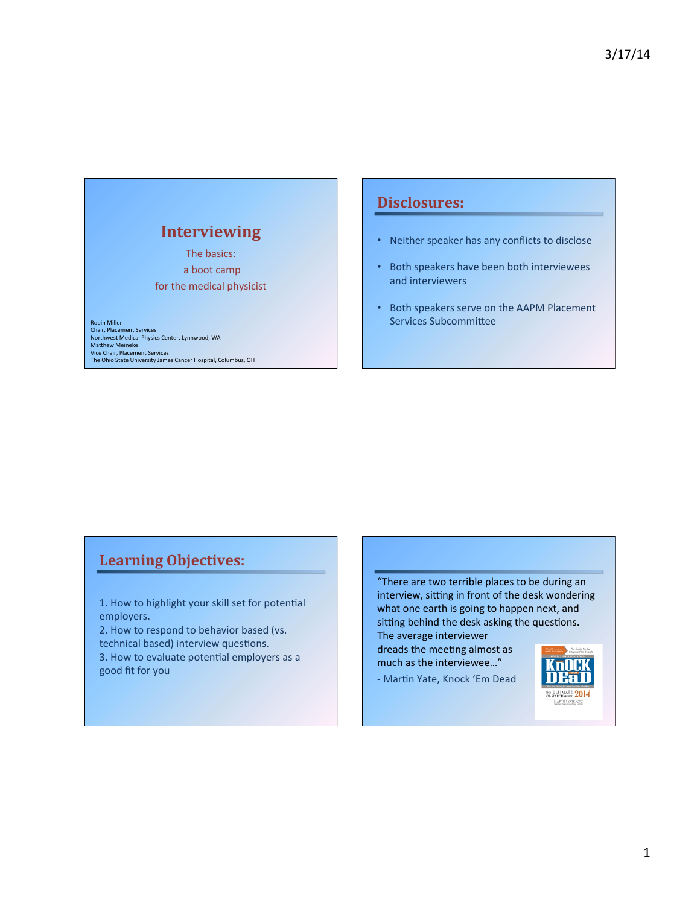# **Interviewing\***

The basics: a boot camp for the medical physicist

Robin Miller<br>Chair, Placement Services Northwest Medical Physics Center, Lynnwood, WA<br>Matthew Meineke Vice Chair, Placement Services<br>The Ohio State University James Cancer Hospital, Columbus, OH

# **Disclosures:**

- Neither speaker has any conflicts to disclose
- Both speakers have been both interviewees and interviewers
- Both speakers serve on the AAPM Placement Services Subcommittee

# **Learning Objectives:**

1. How to highlight your skill set for potential employers.

2. How to respond to behavior based (vs. technical based) interview questions.

3. How to evaluate potential employers as a good fit for you

"There are two terrible places to be during an interview, sitting in front of the desk wondering what one earth is going to happen next, and sitting behind the desk asking the questions. The average interviewer

dreads the meeting almost as much as the interviewee..."

- Martin Yate, Knock 'Em Dead

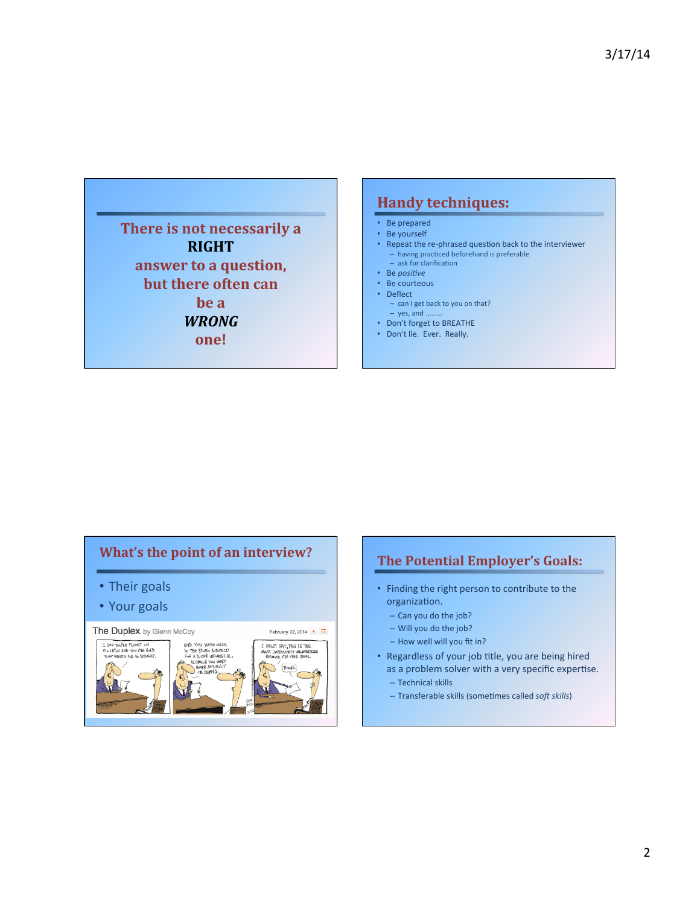**There is not necessarily a RIGHT\*\* answer to a question, but there often can**  $bea$ *WRONG* **one!\***

# **Handy techniques:**

- Be prepared
- $\cdot$  Be yourself
- Repeat the re-phrased question back to the interviewer  $-$  having practiced beforehand is preferable  $-$  ask for clarification
- Be *positive*
- Be courteous
- Deflect
- $-$  can I get back to you on that?  $-$  yes, and .
- Don't forget to BREATHE
- Don't lie. Ever. Really.

# **What's the point of an interview?**

- Their goals
- Your goals



#### **The Potential Employer's Goals:**

- Finding the right person to contribute to the organization.
	- $-$  Can you do the job?
	- $-$  Will you do the job?
	- $-$  How well will you fit in?
- Regardless of your job title, you are being hired as a problem solver with a very specific expertise.
	- $-$  Technical skills
	- Transferable&skills&(someRmes&called&*so)(skills*)&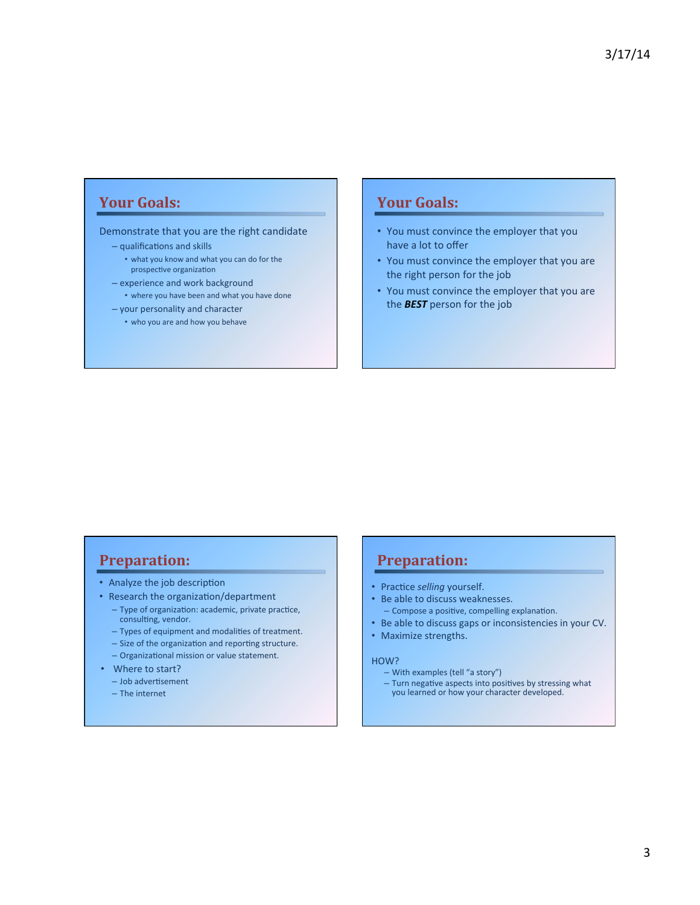# Your Goals:

#### Demonstrate that you are the right candidate

#### $-$  qualifications and skills

- what you know and what you can do for the prospective organization
- experience and work background
- where you have been and what you have done
- $-$  your personality and character
	- who you are and how you behave

#### Your Goals:

- You must convince the employer that you have a lot to offer
- You must convince the employer that you are the right person for the job
- You must convince the employer that you are the **BEST** person for the job

# **Preparation:**

- Analyze the job description
- Research the organization/department
	- Type of organization: academic, private practice, consulting, vendor.
	- Types of equipment and modalities of treatment.
	- Size of the organization and reporting structure.
	- Organizational mission or value statement.
- Where to start?
	- $-$  Job advertisement
	- $-$  The internet

# **Preparation:**

- Practice selling yourself.
- Be able to discuss weaknesses.
- Compose a positive, compelling explanation.
- Be able to discuss gaps or inconsistencies in your CV.
- Maximize strengths.

#### HOW?

- With examples (tell "a story")
- Turn negative aspects into positives by stressing what<br>you learned or how your character developed.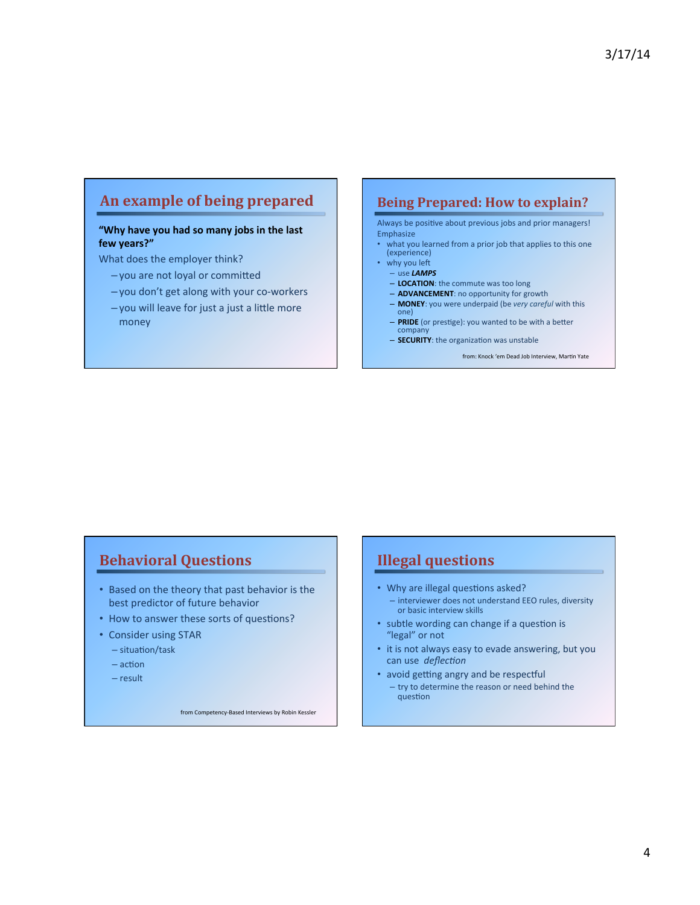# An example of being prepared

#### "Why have you had so many jobs in the last few years?"

What does the employer think?

- $-$  you are not loyal or committed
- you don't get along with your co-workers
- $-$  you will leave for just a just a little more money

#### **Being Prepared: How to explain?**

Always be positive about previous jobs and prior managers! **Emphasize** 

- what you learned from a prior job that applies to this one (experience)
- why you left
	- use&*LAMPS*
	- LOCATION: the commute was too long
	- **ADVANCEMENT**: no opportunity for growth
	- MONEY: you were underpaid (be very careful with this one)&
	- PRIDE (or prestige): you wanted to be with a better company
	- **SECURITY**: the organization was unstable

from: Knock 'em Dead Job Interview, Martin Yate

# **Behavioral Questions**

- Based on the theory that past behavior is the best predictor of future behavior
- How to answer these sorts of questions?
- Consider using STAR
	- $-$  situation/task
	- $-$  action
	- $-$  result

from Competency-Based Interviews by Robin Kessler

## **Illegal questions**

- Why are illegal questions asked? – interviewer does not understand EEO rules, diversity or basic interview skills
- subtle wording can change if a question is "legal" or not
- it is not always easy to evade answering, but you can use deflection
- avoid getting angry and be respectful  $-$  try to determine the reason or need behind the question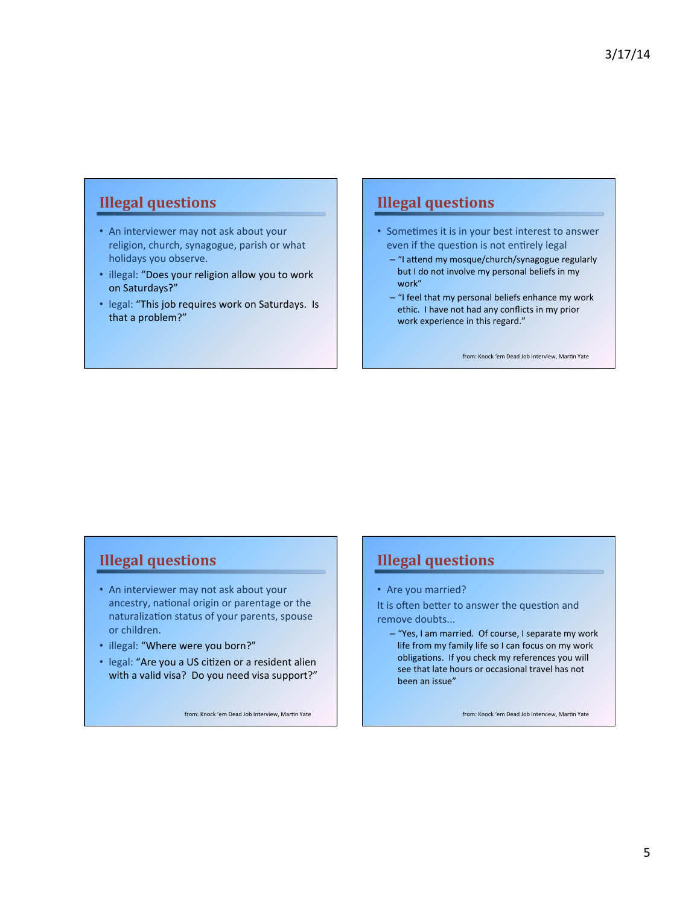# **Illegal questions**

- An interviewer may not ask about your religion, church, synagogue, parish or what holidays you observe.
- illegal: "Does your religion allow you to work on Saturdays?"
- legal: "This job requires work on Saturdays. Is that a problem?"

# **Illegal questions**

- Sometimes it is in your best interest to answer even if the question is not entirely legal
	- $-$  "I attend my mosque/church/synagogue regularly but I do not involve my personal beliefs in my work"
	- $-$  "I feel that my personal beliefs enhance my work ethic. I have not had any conflicts in my prior work experience in this regard."

from: Knock 'em Dead Job Interview, Martin Yate

# **Illegal questions**

- An interviewer may not ask about your ancestry, national origin or parentage or the naturalization status of your parents, spouse or children.
- illegal: "Where were you born?"
- legal: "Are you a US citizen or a resident alien with a valid visa? Do you need visa support?"

from: Knock 'em Dead Job Interview, Martin Yate

# **Illegal questions**

• Are you married?

It is often better to answer the question and remove doubts...

– "Yes, I am married. Of course, I separate my work life from my family life so I can focus on my work obligations. If you check my references you will see that late hours or occasional travel has not been an issue"

from: Knock 'em Dead Job Interview, Martin Yate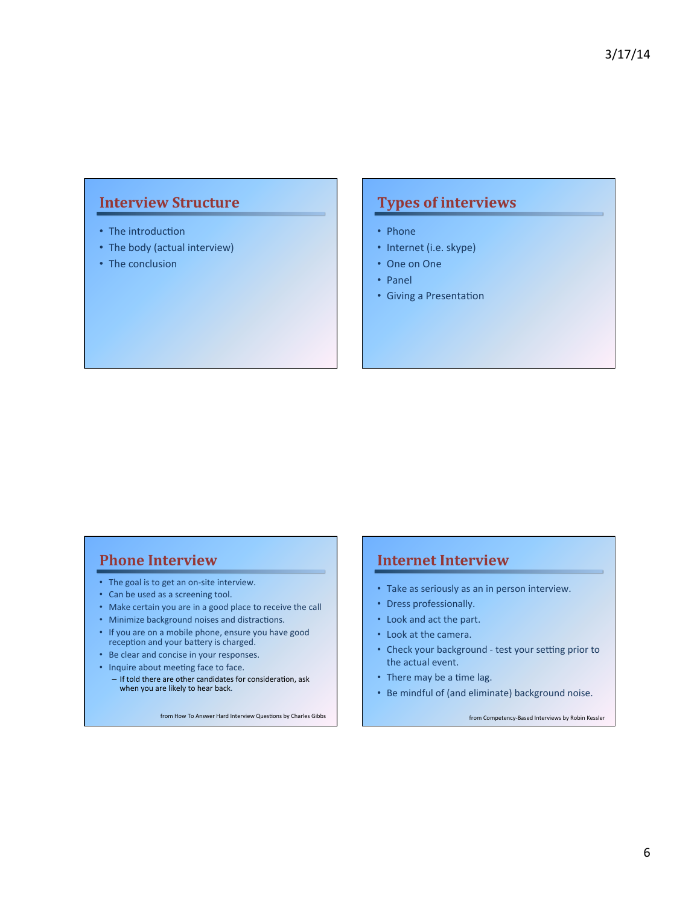# **Interview Structure**

- The introduction
- The body (actual interview)
- The conclusion

# **Types of interviews**

- Phone
- Internet (i.e. skype)
- One on One
- Panel
- Giving a Presentation

#### **Phone Interview**

- The goal is to get an on-site interview.
- Can be used as a screening tool.
- Make certain you are in a good place to receive the call
- Minimize background noises and distractions.
- If you are on a mobile phone, ensure you have good reception and your battery is charged.
- Be clear and concise in your responses.
- Inquire about meeting face to face.
	- $-$  If told there are other candidates for consideration, ask when you are likely to hear back.

from How To Answer Hard Interview Questions by Charles Gibbs

#### **Internet Interview**

- Take as seriously as an in person interview.
- Dress professionally.
- Look and act the part.
- Look at the camera.
- Check your background test your setting prior to the actual event.
- There may be a time lag.
- Be mindful of (and eliminate) background noise.

from Competency-Based Interviews by Robin Kessler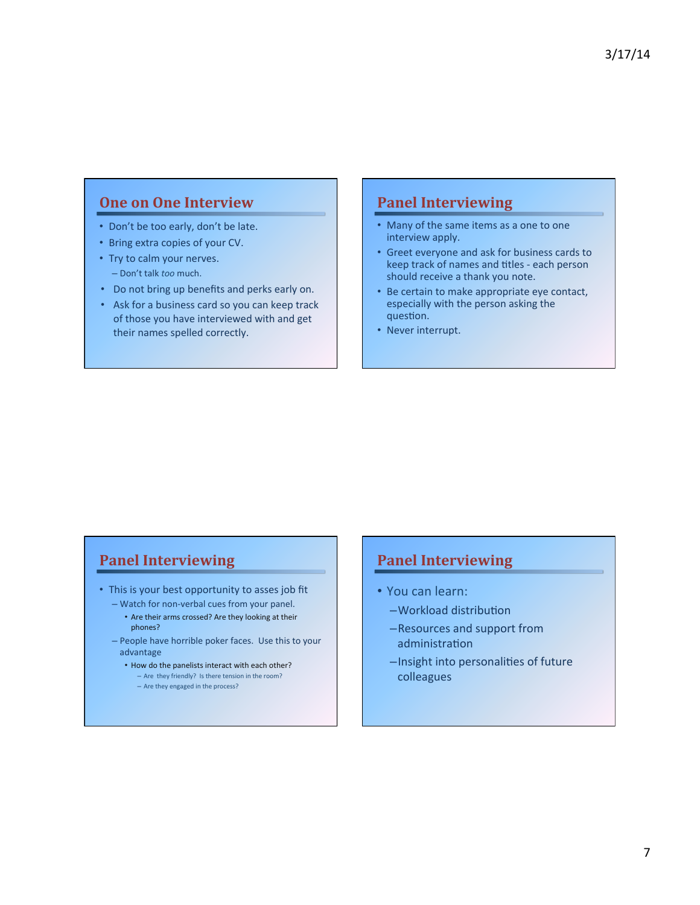## **One on One Interview**

- Don't be too early, don't be late.
- Bring extra copies of your CV.
- Try to calm your nerves. - Don't talk *too* much.
- Do not bring up benefits and perks early on.
- Ask for a business card so you can keep track of those you have interviewed with and get their names spelled correctly.

## **Panel Interviewing**

- Many of the same items as a one to one interview apply.
- Greet everyone and ask for business cards to keep track of names and titles - each person should receive a thank you note.
- Be certain to make appropriate eye contact, especially with the person asking the question.
- Never interrupt.

# **Panel Interviewing**

- This is your best opportunity to asses job fit – Watch for non-verbal cues from your panel.
	- Are their arms crossed? Are they looking at their phones?
	- People have horrible poker faces. Use this to your advantage&
		- $\cdot$  How do the panelists interact with each other? – Are they friendly? Is there tension in the room?
			- $-$  Are they engaged in the process?

## **Panel Interviewing**

- You can learn:
	- -Workload distribution
	- –Resources and support from administration
	- $-$ Insight into personalities of future colleagues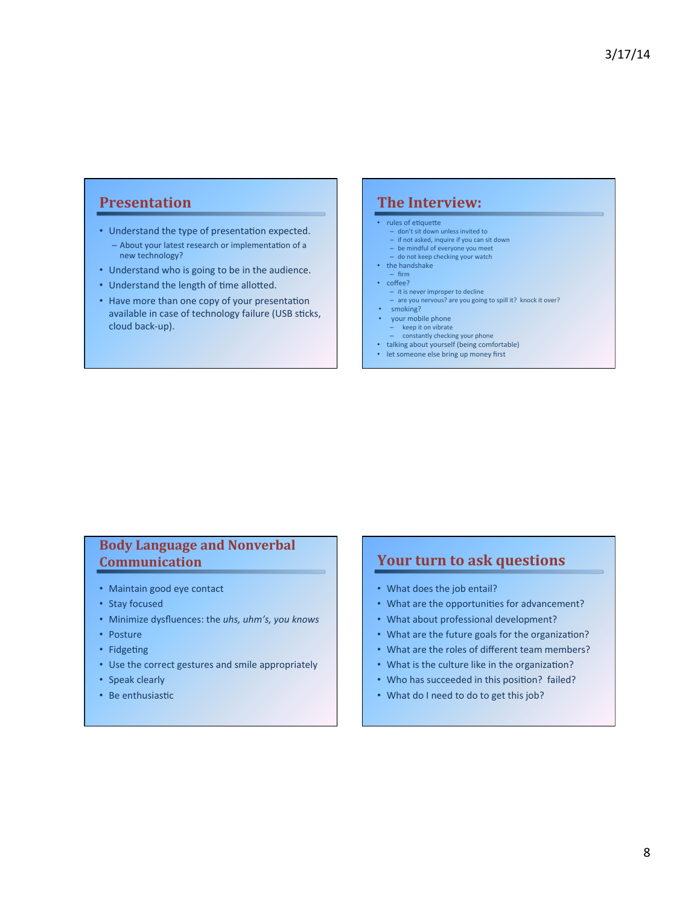## **Presentation\***

- Understand the type of presentation expected. – About your latest research or implementation of a new technology?
- Understand who is going to be in the audience.
- Understand the length of time allotted.
- Have more than one copy of your presentation available in case of technology failure (USB sticks, cloud back-up).

#### **The Interview:**

- rules of etiquette
- don't sit down unless invited to<br>– if not asked, inquire if you can sit down
- $-$  be mindful of everyone you meet
- do not keep checking your watch
- $\cdot$  the handshake
- firm&
- $\cdot$  coffee?
	- $-$  it is never improper to decline
	- are you nervous? are you going to spill it? knock it over?
- smoking?
- your mobile phone
- $-$  keep it on vibrate
- constantly checking your phone<br>• talking about yourself (being comfortable)
- 
- let someone else bring up money first

#### **Body Language and Nonverbal Communication\***

- Maintain good eye contact
- Stay focused
- Minimize dysfluences: the uhs, uhm's, you knows
- Posture
- Fidgeting
- Use the correct gestures and smile appropriately
- Speak clearly
- Be enthusiastic

# **Your turn to ask questions**

- What does the job entail?
- What are the opportunities for advancement?
- What about professional development?
- What are the future goals for the organization?
- What are the roles of different team members?
- What is the culture like in the organization?
- Who has succeeded in this position? failed?
- What do I need to do to get this job?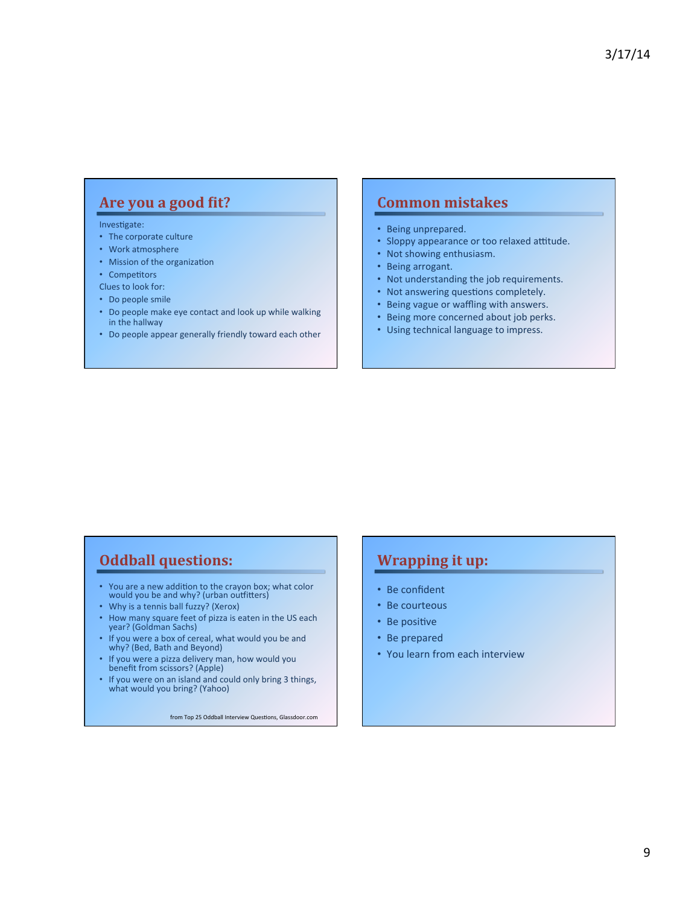# Are you a good fit?

#### Investigate:

- The corporate culture
- Work atmosphere
- Mission of the organization
- Competitors
- Clues to look for:
- Do people smile
- Do people make eye contact and look up while walking in the hallway
- Do people appear generally friendly toward each other

#### **Common mistakes**

- Being unprepared.
- Sloppy appearance or too relaxed attitude.
- Not showing enthusiasm.
- Being arrogant.
- Not understanding the job requirements.
- Not answering questions completely.
- Being vague or waffling with answers.
- Being more concerned about job perks.
- Using technical language to impress.

## **Oddball questions:**

- You are a new addition to the crayon box; what color<br>would you be and why? (urban outfitters)
- Why is a tennis ball fuzzy? (Xerox)
- How many square feet of pizza is eaten in the US each<br>year? (Goldman Sachs)
- If you were a box of cereal, what would you be and<br>why? (Bed, Bath and Beyond)
- If you were a pizza delivery man, how would you benefit from scissors? (Apple)
- If you were on an island and could only bring 3 things,<br>what would you bring? (Yahoo)

from Top 25 Oddball Interview Questions, Glassdoor.com

# **Wrapping it up:**

- Be confident
- Be courteous
- Be positive
- Be prepared
- You learn from each interview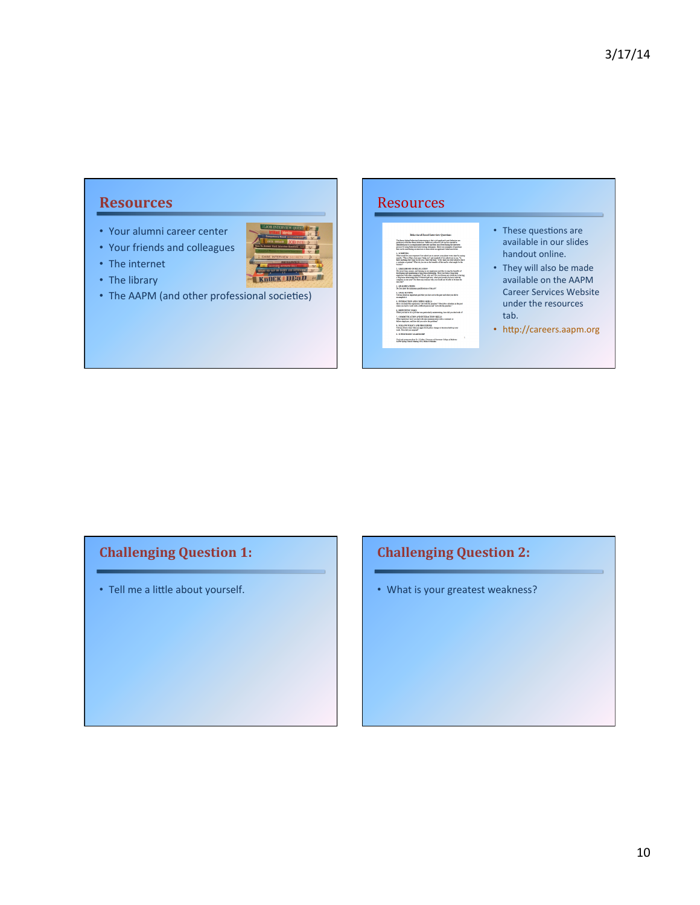## **Resources\***

- Your alumni career center
- Your friends and colleagues
- The internet
- The library
- The AAPM (and other professional societies)

 $\ln{m}$ 

KnOCK DEaD

#### **Resources** • These questions are available in our slides handout online. • They will also be made available on the AAPM Career Services Website under the resources  $\Lambda$  INTERACTION AND COPING SKILLS Here you lead the equation "oil with the panelses" Describes  $6.$  KEPETITIVE TANKS  $\,$  When you had to do a job that was particularly ministerating, how did you. tab.

8. FOLLOW POLICY AND PROCEDURE<br>Tell me about a time when an upper level policy change of<br>work. Here did you respond?

• http://careers.aapm.org

# **Challenging Question 1:**

 $\cdot$  Tell me a little about yourself.

# **Challenging Question 2:**

• What is your greatest weakness?